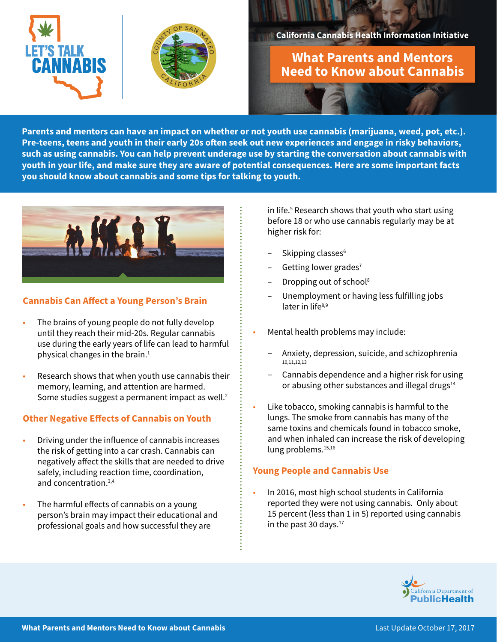



#### **California Cannabis Health Information Initiative**

# **What Parents and Mentors Need to Know about Cannabis**

**Parents and mentors can have an impact on whether or not youth use cannabis (marijuana, weed, pot, etc.). Pre-teens, teens and youth in their early 20s often seek out new experiences and engage in risky behaviors, such as using cannabis. You can help prevent underage use by starting the conversation about cannabis with youth in your life, and make sure they are aware of potential consequences. Here are some important facts you should know about cannabis and some tips for talking to youth.** 



## **Cannabis Can Affect a Young Person's Brain**

- The brains of young people do not fully develop until they reach their mid-20s. Regular cannabis use during the early years of life can lead to harmful physical changes in the brain. $1$
- Research shows that when youth use cannabis their memory, learning, and attention are harmed. Some studies suggest a permanent impact as well.<sup>2</sup>

### **Other Negative Effects of Cannabis on Youth**

- Driving under the influence of cannabis increases the risk of getting into a car crash. Cannabis can negatively affect the skills that are needed to drive safely, including reaction time, coordination, and concentration.3,4
- The harmful effects of cannabis on a young person's brain may impact their educational and professional goals and how successful they are

in life.5 Research shows that youth who start using before 18 or who use cannabis regularly may be at higher risk for:

- Skipping classes<sup>6</sup>
- Getting lower grades<sup>7</sup>
- Dropping out of school<sup>8</sup>
- Unemployment or having less fulfilling jobs later in life<sup>8,9</sup>
- Mental health problems may include:
	- Anxiety, depression, suicide, and schizophrenia 10,11,12,13
	- Cannabis dependence and a higher risk for using or abusing other substances and illegal drugs<sup>14</sup>
- Like tobacco, smoking cannabis is harmful to the lungs. The smoke from cannabis has many of the same toxins and chemicals found in tobacco smoke, and when inhaled can increase the risk of developing lung problems.<sup>15,16</sup>

### **Young People and Cannabis Use**

• In 2016, most high school students in California reported they were not using cannabis. Only about 15 percent (less than 1 in 5) reported using cannabis in the past 30 days. $17$ 

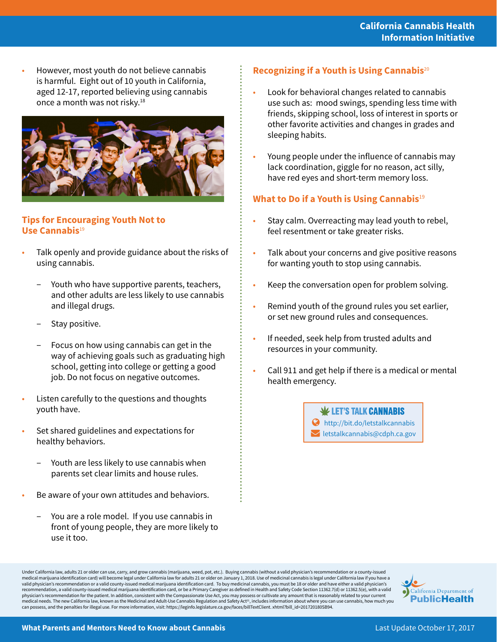• However, most youth do not believe cannabis is harmful. Eight out of 10 youth in California, aged 12-17, reported believing using cannabis once a month was not risky.18



#### **Tips for Encouraging Youth Not to Use Cannabis**<sup>19</sup>

- Talk openly and provide guidance about the risks of using cannabis.
	- Youth who have supportive parents, teachers, and other adults are less likely to use cannabis and illegal drugs.
	- Stay positive.
	- Focus on how using cannabis can get in the way of achieving goals such as graduating high school, getting into college or getting a good job. Do not focus on negative outcomes.
- Listen carefully to the questions and thoughts youth have.
- Set shared guidelines and expectations for healthy behaviors.
	- Youth are less likely to use cannabis when parents set clear limits and house rules.
- Be aware of your own attitudes and behaviors.
	- You are a role model. If you use cannabis in front of young people, they are more likely to use it too.

# **Recognizing if a Youth is Using Cannabis**<sup>20</sup>

- Look for behavioral changes related to cannabis use such as: mood swings, spending less time with friends, skipping school, loss of interest in sports or other favorite activities and changes in grades and sleeping habits.
- Young people under the influence of cannabis may lack coordination, giggle for no reason, act silly, have red eyes and short-term memory loss.

# **What to Do if a Youth is Using Cannabis**<sup>19</sup>

- Stay calm. Overreacting may lead youth to rebel, feel resentment or take greater risks.
- Talk about your concerns and give positive reasons for wanting youth to stop using cannabis.
- Keep the conversation open for problem solving.
- Remind youth of the ground rules you set earlier, or set new ground rules and consequences.
- If needed, seek help from trusted adults and resources in your community.
- Call 911 and get help if there is a medical or mental health emergency.

 $\mathbf \Psi$  LET'S TALK CANNABIS http://bit.do/letstalkcannabis  $\blacktriangleright$  letstalkcannabis@cdph.ca.gov

Under California law, adults 21 or older can use, carry, and grow cannabis (marijuana, weed, pot, etc.). Buying cannabis (without a valid physician's recommendation or a county-issued medical marijuana identification card) will become legal under California law for adults 21 or older on January 1, 2018. Use of medicinal cannabis is legal under California law if you have a<br>valid physician's recommendatio recommendation, a valid county-issued medical marijuana identification card, or be a Primary Caregiver as defined in Health and Safety Code Section 11362.7(d) or 11362.5(e), with a valid<br>physician's recommendation for the medical needs. The new California law, known as the Medicinal and Adult-Use Cannabis Regulation and Safety Act<sup>21</sup>, includes information about where you can use cannabis, how much you can possess, and the penalties for illegal use. For more information, visit: https://leginfo.legislature.ca.gov/faces/billTextClient. xhtml?bill\_id=201720180SB94.